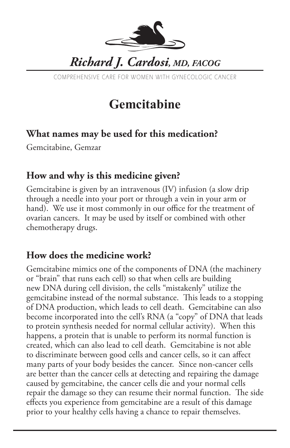

COMPREHENSIVE CARE FOR WOMEN WITH GYNECOLOGIC CANCER

# **Gemcitabine**

#### **What names may be used for this medication?**

Gemcitabine, Gemzar

#### **How and why is this medicine given?**

Gemcitabine is given by an intravenous (IV) infusion (a slow drip through a needle into your port or through a vein in your arm or hand). We use it most commonly in our office for the treatment of ovarian cancers. It may be used by itself or combined with other chemotherapy drugs.

#### **How does the medicine work?**

Gemcitabine mimics one of the components of DNA (the machinery or "brain" that runs each cell) so that when cells are building new DNA during cell division, the cells "mistakenly" utilize the gemcitabine instead of the normal substance. This leads to a stopping of DNA production, which leads to cell death. Gemcitabine can also become incorporated into the cell's RNA (a "copy" of DNA that leads to protein synthesis needed for normal cellular activity). When this happens, a protein that is unable to perform its normal function is created, which can also lead to cell death. Gemcitabine is not able to discriminate between good cells and cancer cells, so it can affect many parts of your body besides the cancer. Since non-cancer cells are better than the cancer cells at detecting and repairing the damage caused by gemcitabine, the cancer cells die and your normal cells repair the damage so they can resume their normal function. The side effects you experience from gemcitabine are a result of this damage prior to your healthy cells having a chance to repair themselves.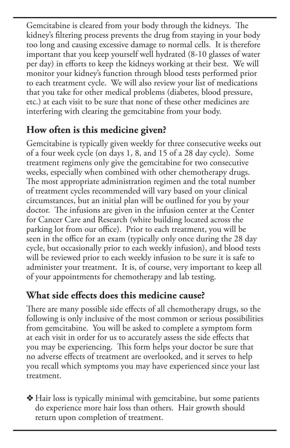Gemcitabine is cleared from your body through the kidneys. The kidney's filtering process prevents the drug from staying in your body too long and causing excessive damage to normal cells. It is therefore important that you keep yourself well hydrated (8-10 glasses of water per day) in efforts to keep the kidneys working at their best. We will monitor your kidney's function through blood tests performed prior to each treatment cycle. We will also review your list of medications that you take for other medical problems (diabetes, blood pressure, etc.) at each visit to be sure that none of these other medicines are interfering with clearing the gemcitabine from your body.

## **How often is this medicine given?**

Gemcitabine is typically given weekly for three consecutive weeks out of a four week cycle (on days 1, 8, and 15 of a 28 day cycle). Some treatment regimens only give the gemcitabine for two consecutive weeks, especially when combined with other chemotherapy drugs. The most appropriate administration regimen and the total number of treatment cycles recommended will vary based on your clinical circumstances, but an initial plan will be outlined for you by your doctor. The infusions are given in the infusion center at the Center for Cancer Care and Research (white building located across the parking lot from our office). Prior to each treatment, you will be seen in the office for an exam (typically only once during the 28 day cycle, but occasionally prior to each weekly infusion), and blood tests will be reviewed prior to each weekly infusion to be sure it is safe to administer your treatment. It is, of course, very important to keep all of your appointments for chemotherapy and lab testing.

### **What side effects does this medicine cause?**

There are many possible side effects of all chemotherapy drugs, so the following is only inclusive of the most common or serious possibilities from gemcitabine. You will be asked to complete a symptom form at each visit in order for us to accurately assess the side effects that you may be experiencing. This form helps your doctor be sure that no adverse effects of treatment are overlooked, and it serves to help you recall which symptoms you may have experienced since your last treatment.

v Hair loss is typically minimal with gemcitabine, but some patients do experience more hair loss than others. Hair growth should return upon completion of treatment.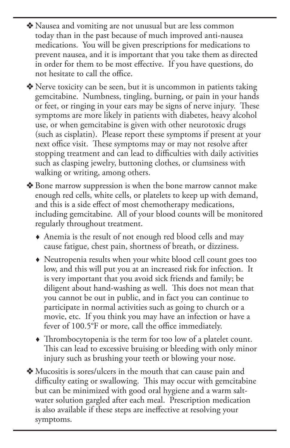- v Nausea and vomiting are not unusual but are less common today than in the past because of much improved anti-nausea medications. You will be given prescriptions for medications to prevent nausea, and it is important that you take them as directed in order for them to be most effective. If you have questions, do not hesitate to call the office.
- $\triangle$  Nerve toxicity can be seen, but it is uncommon in patients taking gemcitabine. Numbness, tingling, burning, or pain in your hands or feet, or ringing in your ears may be signs of nerve injury. These symptoms are more likely in patients with diabetes, heavy alcohol use, or when gemcitabine is given with other neurotoxic drugs (such as cisplatin). Please report these symptoms if present at your next office visit. These symptoms may or may not resolve after stopping treatment and can lead to difficulties with daily activities such as clasping jewelry, buttoning clothes, or clumsiness with walking or writing, among others.
- v Bone marrow suppression is when the bone marrow cannot make enough red cells, white cells, or platelets to keep up with demand, and this is a side effect of most chemotherapy medications, including gemcitabine. All of your blood counts will be monitored regularly throughout treatment.
	- Anemia is the result of not enough red blood cells and may cause fatigue, chest pain, shortness of breath, or dizziness.
	- Neutropenia results when your white blood cell count goes too low, and this will put you at an increased risk for infection. It is very important that you avoid sick friends and family; be diligent about hand-washing as well. This does not mean that you cannot be out in public, and in fact you can continue to participate in normal activities such as going to church or a movie, etc. If you think you may have an infection or have a fever of 100.5°F or more, call the office immediately.
	- Thrombocytopenia is the term for too low of a platelet count. This can lead to excessive bruising or bleeding with only minor injury such as brushing your teeth or blowing your nose.
- v Mucositis is sores/ulcers in the mouth that can cause pain and difficulty eating or swallowing. This may occur with gemcitabine but can be minimized with good oral hygiene and a warm saltwater solution gargled after each meal. Prescription medication is also available if these steps are ineffective at resolving your symptoms.